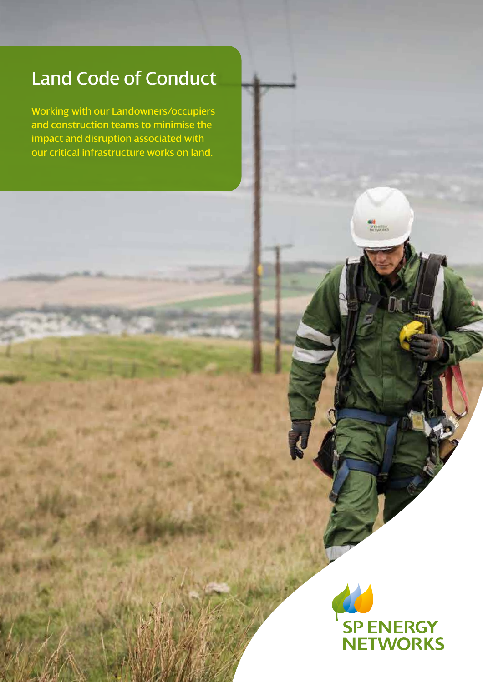# Land Code of Conduct

Working with our Landowners/occupiers and construction teams to minimise the impact and disruption associated with our critical infrastructure works on land.

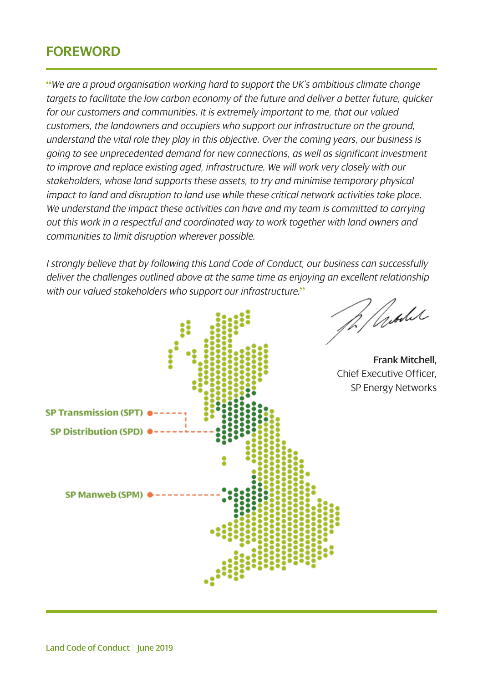#### **FOREWORD**

**"***We are a proud organisation working hard to support the UK's ambitious climate change targets to facilitate the low carbon economy of the future and deliver a better future, quicker for our customers and communities. It is extremely important to me, that our valued customers, the landowners and occupiers who support our infrastructure on the ground, understand the vital role they play in this objective. Over the coming years, our business is going to see unprecedented demand for new connections, as well as significant investment to improve and replace existing aged, infrastructure. We will work very closely with our stakeholders, whose land supports these assets, to try and minimise temporary physical impact to land and disruption to land use while these critical network activities take place. We understand the impact these activities can have and my team is committed to carrying out this work in a respectful and coordinated way to work together with land owners and communities to limit disruption wherever possible.* 

*I strongly believe that by following this Land Code of Conduct, our business can successfully deliver the challenges outlined above at the same time as enjoying an excellent relationship with our valued stakeholders who support our infrastructure.***"**



Vrohe

Frank Mitchell, Chief Executive Officer, SP Energy Networks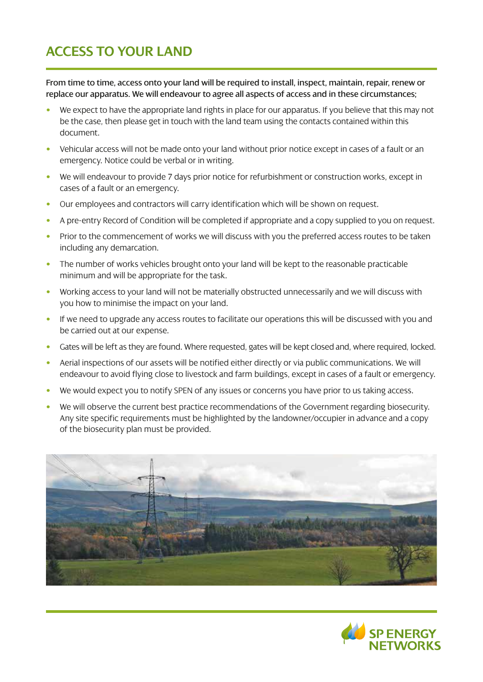# **ACCESS TO YOUR LAND**

From time to time, access onto your land will be required to install, inspect, maintain, repair, renew or replace our apparatus. We will endeavour to agree all aspects of access and in these circumstances;

- We expect to have the appropriate land rights in place for our apparatus. If you believe that this may not be the case, then please get in touch with the land team using the contacts contained within this document.
- Vehicular access will not be made onto your land without prior notice except in cases of a fault or an emergency. Notice could be verbal or in writing.
- We will endeavour to provide 7 days prior notice for refurbishment or construction works, except in cases of a fault or an emergency.
- Our employees and contractors will carry identification which will be shown on request.
- A pre-entry Record of Condition will be completed if appropriate and a copy supplied to you on request.
- Prior to the commencement of works we will discuss with you the preferred access routes to be taken including any demarcation.
- The number of works vehicles brought onto your land will be kept to the reasonable practicable minimum and will be appropriate for the task.
- Working access to your land will not be materially obstructed unnecessarily and we will discuss with you how to minimise the impact on your land.
- If we need to upgrade any access routes to facilitate our operations this will be discussed with you and be carried out at our expense.
- Gates will be left as they are found. Where requested, gates will be kept closed and, where required, locked.
- Aerial inspections of our assets will be notified either directly or via public communications. We will endeavour to avoid flying close to livestock and farm buildings, except in cases of a fault or emergency.
- We would expect you to notify SPEN of any issues or concerns you have prior to us taking access.
- We will observe the current best practice recommendations of the Government regarding biosecurity. Any site specific requirements must be highlighted by the landowner/occupier in advance and a copy of the biosecurity plan must be provided.



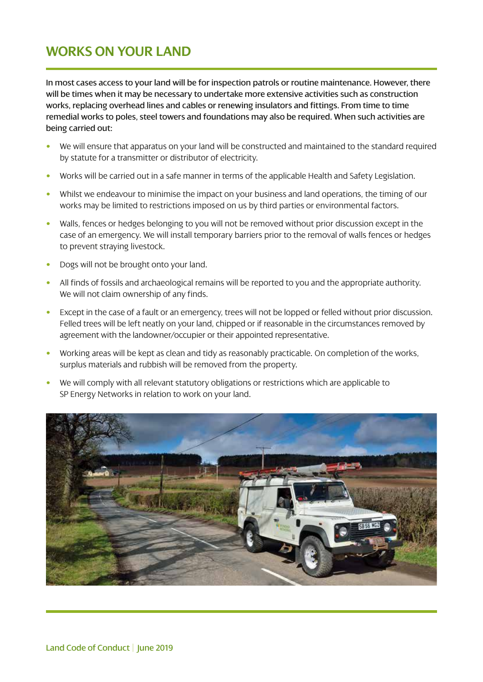#### **WORKS ON YOUR LAND**

In most cases access to your land will be for inspection patrols or routine maintenance. However, there will be times when it may be necessary to undertake more extensive activities such as construction works, replacing overhead lines and cables or renewing insulators and fittings. From time to time remedial works to poles, steel towers and foundations may also be required. When such activities are being carried out:

- We will ensure that apparatus on your land will be constructed and maintained to the standard required by statute for a transmitter or distributor of electricity.
- Works will be carried out in a safe manner in terms of the applicable Health and Safety Legislation.
- Whilst we endeavour to minimise the impact on your business and land operations, the timing of our works may be limited to restrictions imposed on us by third parties or environmental factors.
- Walls, fences or hedges belonging to you will not be removed without prior discussion except in the case of an emergency. We will install temporary barriers prior to the removal of walls fences or hedges to prevent straying livestock.
- Dogs will not be brought onto your land.
- All finds of fossils and archaeological remains will be reported to you and the appropriate authority. We will not claim ownership of any finds.
- Except in the case of a fault or an emergency, trees will not be lopped or felled without prior discussion. Felled trees will be left neatly on your land, chipped or if reasonable in the circumstances removed by agreement with the landowner/occupier or their appointed representative.
- Working areas will be kept as clean and tidy as reasonably practicable. On completion of the works, surplus materials and rubbish will be removed from the property.
- We will comply with all relevant statutory obligations or restrictions which are applicable to SP Energy Networks in relation to work on your land.

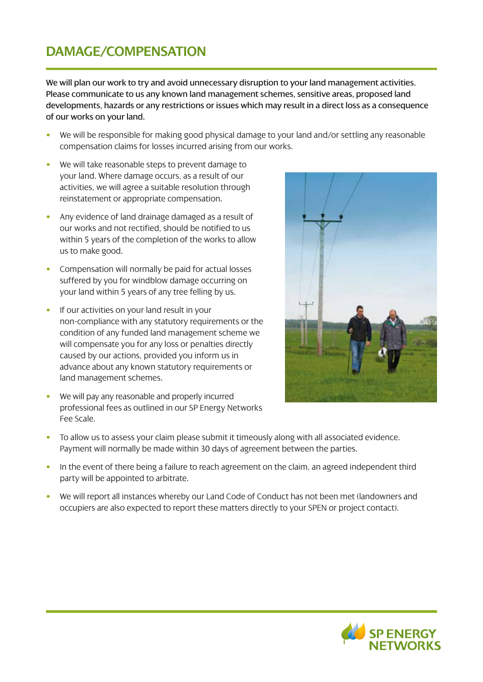### **DAMAGE/COMPENSATION**

We will plan our work to try and avoid unnecessary disruption to your land management activities. Please communicate to us any known land management schemes, sensitive areas, proposed land developments, hazards or any restrictions or issues which may result in a direct loss as a consequence of our works on your land.

- We will be responsible for making good physical damage to your land and/or settling any reasonable compensation claims for losses incurred arising from our works.
- We will take reasonable steps to prevent damage to your land. Where damage occurs, as a result of our activities, we will agree a suitable resolution through reinstatement or appropriate compensation.
- Any evidence of land drainage damaged as a result of our works and not rectified, should be notified to us within 5 years of the completion of the works to allow us to make good.
- Compensation will normally be paid for actual losses suffered by you for windblow damage occurring on your land within 5 years of any tree felling by us.
- If our activities on your land result in your non-compliance with any statutory requirements or the condition of any funded land management scheme we will compensate you for any loss or penalties directly caused by our actions, provided you inform us in advance about any known statutory requirements or land management schemes.
- We will pay any reasonable and properly incurred professional fees as outlined in our SP Energy Networks Fee Scale.



- To allow us to assess your claim please submit it timeously along with all associated evidence. Payment will normally be made within 30 days of agreement between the parties.
- In the event of there being a failure to reach agreement on the claim, an agreed independent third party will be appointed to arbitrate.
- We will report all instances whereby our Land Code of Conduct has not been met (landowners and occupiers are also expected to report these matters directly to your SPEN or project contact).

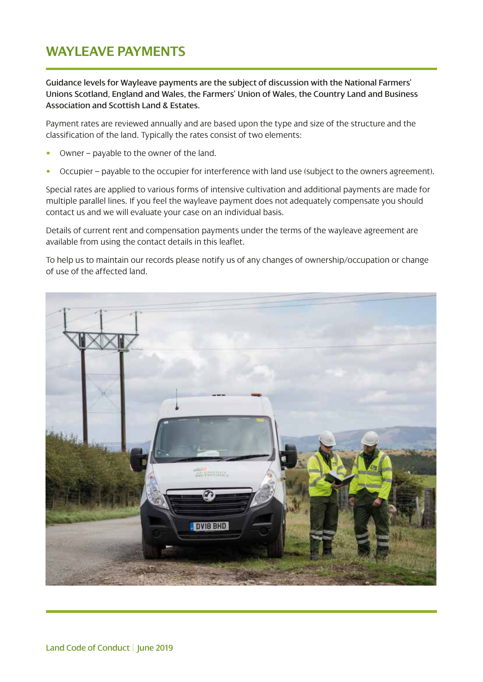#### **WAYLEAVE PAYMENTS**

Guidance levels for Wayleave payments are the subject of discussion with the National Farmers' Unions Scotland, England and Wales, the Farmers' Union of Wales, the Country Land and Business Association and Scottish Land & Estates.

Payment rates are reviewed annually and are based upon the type and size of the structure and the classification of the land. Typically the rates consist of two elements:

- Owner payable to the owner of the land.
- Occupier payable to the occupier for interference with land use (subject to the owners agreement).

Special rates are applied to various forms of intensive cultivation and additional payments are made for multiple parallel lines. If you feel the wayleave payment does not adequately compensate you should contact us and we will evaluate your case on an individual basis.

Details of current rent and compensation payments under the terms of the wayleave agreement are available from using the contact details in this leaflet.

To help us to maintain our records please notify us of any changes of ownership/occupation or change of use of the affected land.

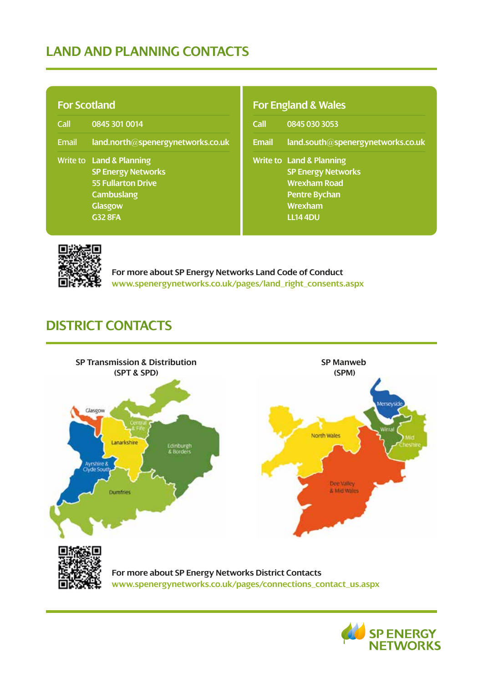# **LAND AND PLANNING CONTACTS**

| <b>For Scotland</b> |                                                                                                                                                        |  |  |
|---------------------|--------------------------------------------------------------------------------------------------------------------------------------------------------|--|--|
| Call                | 0845 301 0014                                                                                                                                          |  |  |
| <b>Email</b>        | land.north@spenergynetworks.co.uk                                                                                                                      |  |  |
|                     | <b>Write to Land &amp; Planning</b><br><b>SP Energy Networks</b><br><b>55 Fullarton Drive</b><br><b>Cambuslang</b><br><b>Glasgow</b><br><b>G32 8FA</b> |  |  |

#### **For England & Wales**

| Call         | 0845 030 3053                                                                                                                                 |
|--------------|-----------------------------------------------------------------------------------------------------------------------------------------------|
| <b>Email</b> | land.south@spenergynetworks.co.uk                                                                                                             |
|              | <b>Write to Land &amp; Planning</b><br><b>SP Energy Networks</b><br><b>Wrexham Road</b><br><b>Pentre Bychan</b><br>Wrexham<br><b>LL14 4DU</b> |



**For more about SP Energy Networks Land Code of Conduct www.spenergynetworks.co.uk/pages/land\_right\_consents.aspx**

# **DISTRICT CONTACTS**